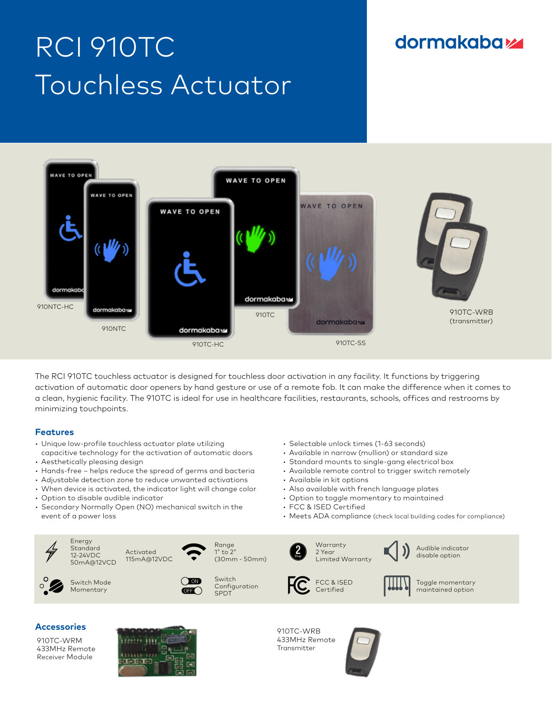# RCI 910TC Touchless Actuator

# **dormakabazz**



The RCI 910TC touchless actuator is designed for touchless door activation in any facility. It functions by triggering activation of automatic door openers by hand gesture or use of a remote fob. It can make the difference when it comes to a clean, hygienic facility. The 910TC is ideal for use in healthcare facilities, restaurants, schools, offices and restrooms by minimizing touchpoints.

#### **Features**

- Unique low-profile touchless actuator plate utilizing capacitive technology for the activation of automatic doors
- Aesthetically pleasing design

Energy **Standard** 12-24VDC 50mA@12VCD

Switch Mode Momentary

- Hands-free helps reduce the spread of germs and bacteria
- Adjustable detection zone to reduce unwanted activations
- When device is activated, the indicator light will change color
- Option to disable audible indicator
- Secondary Normally Open (NO) mechanical switch in the event of a power loss

Activated 115mA@12VDC

- Selectable unlock times (1-63 seconds)
- Available in narrow (mullion) or standard size
- Standard mounts to single-gang electrical box
- Available remote control to trigger switch remotely
- Available in kit options
- Also available with french language plates
- Option to toggle momentary to maintained
- FCC & ISED Certified
- Meets ADA compliance (check local building codes for compliance)



### **Accessories**

910TC-WRM 433MHz Remote Receiver Module



 $\bigcap$  on  $\overline{\text{CH}}$ 

> 910TC-WRB 433MHz Remote Transmitter